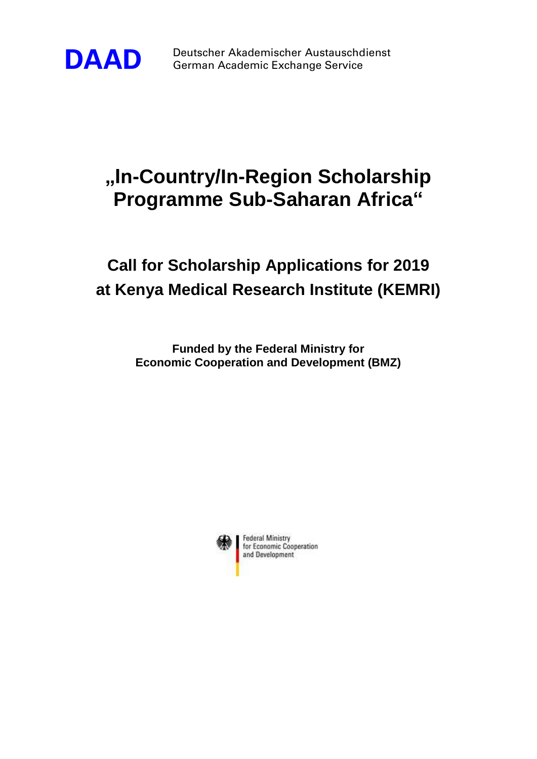

**DAAD** Deutscher Akademischer Austauschdienst German Academic Exchange Service

## **"In-Country/In-Region Scholarship Programme Sub-Saharan Africa"**

## **Call for Scholarship Applications for 2019 at Kenya Medical Research Institute (KEMRI)**

**Funded by the Federal Ministry for Economic Cooperation and Development (BMZ)**

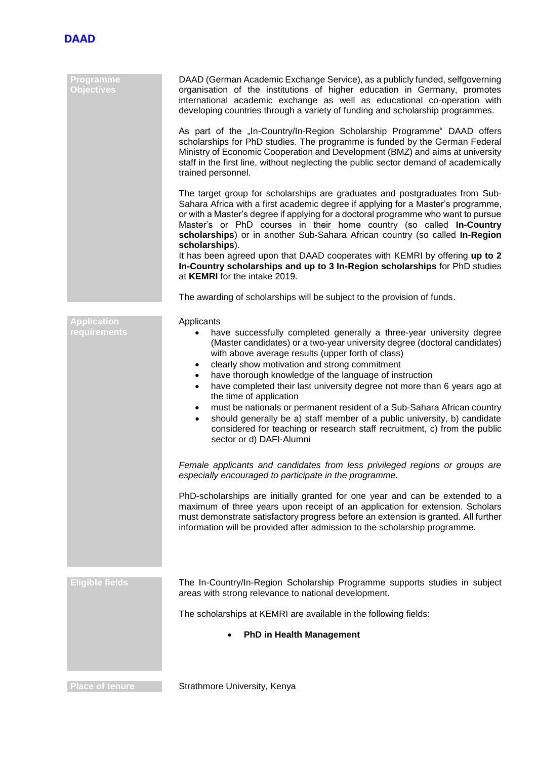

| Programme<br><b>Objectives</b>     | DAAD (German Academic Exchange Service), as a publicly funded, selfgoverning<br>organisation of the institutions of higher education in Germany, promotes<br>international academic exchange as well as educational co-operation with<br>developing countries through a variety of funding and scholarship programmes.                                                                                                                                                                                                                                                                                                                                                                                                                                     |
|------------------------------------|------------------------------------------------------------------------------------------------------------------------------------------------------------------------------------------------------------------------------------------------------------------------------------------------------------------------------------------------------------------------------------------------------------------------------------------------------------------------------------------------------------------------------------------------------------------------------------------------------------------------------------------------------------------------------------------------------------------------------------------------------------|
|                                    | As part of the "In-Country/In-Region Scholarship Programme" DAAD offers<br>scholarships for PhD studies. The programme is funded by the German Federal<br>Ministry of Economic Cooperation and Development (BMZ) and aims at university<br>staff in the first line, without neglecting the public sector demand of academically<br>trained personnel.                                                                                                                                                                                                                                                                                                                                                                                                      |
|                                    | The target group for scholarships are graduates and postgraduates from Sub-<br>Sahara Africa with a first academic degree if applying for a Master's programme,<br>or with a Master's degree if applying for a doctoral programme who want to pursue<br>Master's or PhD courses in their home country (so called In-Country<br>scholarships) or in another Sub-Sahara African country (so called In-Region<br>scholarships).                                                                                                                                                                                                                                                                                                                               |
|                                    | It has been agreed upon that DAAD cooperates with KEMRI by offering up to 2<br>In-Country scholarships and up to 3 In-Region scholarships for PhD studies<br>at KEMRI for the intake 2019.                                                                                                                                                                                                                                                                                                                                                                                                                                                                                                                                                                 |
|                                    | The awarding of scholarships will be subject to the provision of funds.                                                                                                                                                                                                                                                                                                                                                                                                                                                                                                                                                                                                                                                                                    |
| <b>Application</b><br>requirements | Applicants<br>have successfully completed generally a three-year university degree<br>(Master candidates) or a two-year university degree (doctoral candidates)<br>with above average results (upper forth of class)<br>clearly show motivation and strong commitment<br>$\bullet$<br>have thorough knowledge of the language of instruction<br>$\bullet$<br>have completed their last university degree not more than 6 years ago at<br>$\bullet$<br>the time of application<br>must be nationals or permanent resident of a Sub-Sahara African country<br>should generally be a) staff member of a public university, b) candidate<br>$\bullet$<br>considered for teaching or research staff recruitment, c) from the public<br>sector or d) DAFI-Alumni |
|                                    | Female applicants and candidates from less privileged regions or groups are<br>especially encouraged to participate in the programme.                                                                                                                                                                                                                                                                                                                                                                                                                                                                                                                                                                                                                      |
|                                    | PhD-scholarships are initially granted for one year and can be extended to a<br>maximum of three years upon receipt of an application for extension. Scholars<br>must demonstrate satisfactory progress before an extension is granted. All further<br>information will be provided after admission to the scholarship programme.                                                                                                                                                                                                                                                                                                                                                                                                                          |
|                                    |                                                                                                                                                                                                                                                                                                                                                                                                                                                                                                                                                                                                                                                                                                                                                            |
| <b>Eligible fields</b>             | The In-Country/In-Region Scholarship Programme supports studies in subject<br>areas with strong relevance to national development.                                                                                                                                                                                                                                                                                                                                                                                                                                                                                                                                                                                                                         |
|                                    | The scholarships at KEMRI are available in the following fields:                                                                                                                                                                                                                                                                                                                                                                                                                                                                                                                                                                                                                                                                                           |
|                                    | <b>PhD in Health Management</b>                                                                                                                                                                                                                                                                                                                                                                                                                                                                                                                                                                                                                                                                                                                            |
| <b>Place of tenure</b>             | Strathmore University, Kenya                                                                                                                                                                                                                                                                                                                                                                                                                                                                                                                                                                                                                                                                                                                               |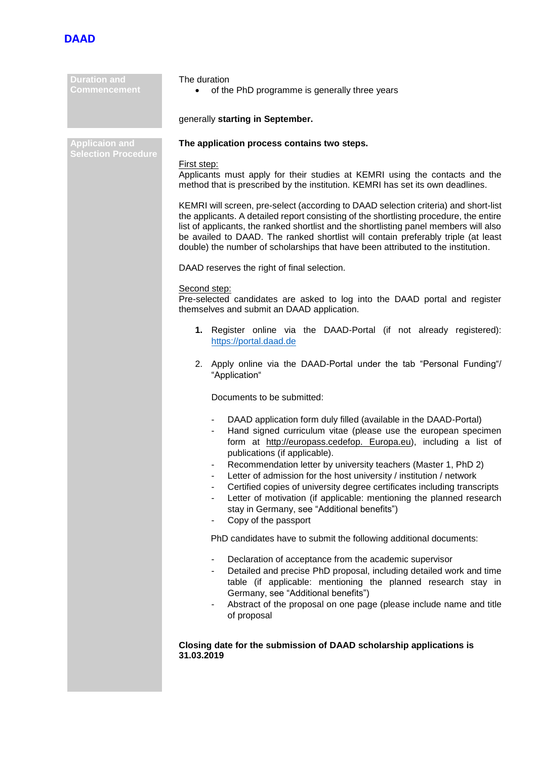

| <b>Duration and</b><br>Commencement                 | The duration<br>of the PhD programme is generally three years                                                                                                                                                                                                                                                                                                                                                                                                                                                                                                                       |  |  |
|-----------------------------------------------------|-------------------------------------------------------------------------------------------------------------------------------------------------------------------------------------------------------------------------------------------------------------------------------------------------------------------------------------------------------------------------------------------------------------------------------------------------------------------------------------------------------------------------------------------------------------------------------------|--|--|
|                                                     | generally starting in September.                                                                                                                                                                                                                                                                                                                                                                                                                                                                                                                                                    |  |  |
| <b>Applicaion and</b><br><b>Selection Procedure</b> | The application process contains two steps.                                                                                                                                                                                                                                                                                                                                                                                                                                                                                                                                         |  |  |
|                                                     | First step:<br>Applicants must apply for their studies at KEMRI using the contacts and the<br>method that is prescribed by the institution. KEMRI has set its own deadlines.                                                                                                                                                                                                                                                                                                                                                                                                        |  |  |
|                                                     | KEMRI will screen, pre-select (according to DAAD selection criteria) and short-list<br>the applicants. A detailed report consisting of the shortlisting procedure, the entire<br>list of applicants, the ranked shortlist and the shortlisting panel members will also<br>be availed to DAAD. The ranked shortlist will contain preferably triple (at least<br>double) the number of scholarships that have been attributed to the institution.                                                                                                                                     |  |  |
|                                                     | DAAD reserves the right of final selection.                                                                                                                                                                                                                                                                                                                                                                                                                                                                                                                                         |  |  |
|                                                     | Second step:<br>Pre-selected candidates are asked to log into the DAAD portal and register<br>themselves and submit an DAAD application.                                                                                                                                                                                                                                                                                                                                                                                                                                            |  |  |
|                                                     | 1. Register online via the DAAD-Portal (if not already registered):<br>https://portal.daad.de                                                                                                                                                                                                                                                                                                                                                                                                                                                                                       |  |  |
|                                                     | 2. Apply online via the DAAD-Portal under the tab "Personal Funding"/<br>"Application"                                                                                                                                                                                                                                                                                                                                                                                                                                                                                              |  |  |
|                                                     | Documents to be submitted:                                                                                                                                                                                                                                                                                                                                                                                                                                                                                                                                                          |  |  |
|                                                     | DAAD application form duly filled (available in the DAAD-Portal)<br>Hand signed curriculum vitae (please use the european specimen<br>form at http://europass.cedefop. Europa.eu), including a list of<br>publications (if applicable).<br>Recommendation letter by university teachers (Master 1, PhD 2)<br>Letter of admission for the host university / institution / network<br>Certified copies of university degree certificates including transcripts<br>Letter of motivation (if applicable: mentioning the planned research<br>stay in Germany, see "Additional benefits") |  |  |
|                                                     | Copy of the passport                                                                                                                                                                                                                                                                                                                                                                                                                                                                                                                                                                |  |  |
|                                                     | PhD candidates have to submit the following additional documents:                                                                                                                                                                                                                                                                                                                                                                                                                                                                                                                   |  |  |
|                                                     | Declaration of acceptance from the academic supervisor<br>Detailed and precise PhD proposal, including detailed work and time<br>table (if applicable: mentioning the planned research stay in<br>Germany, see "Additional benefits")<br>Abstract of the proposal on one page (please include name and title<br>٠<br>of proposal                                                                                                                                                                                                                                                    |  |  |
|                                                     | Closing date for the submission of DAAD scholarship applications is<br>31.03.2019                                                                                                                                                                                                                                                                                                                                                                                                                                                                                                   |  |  |